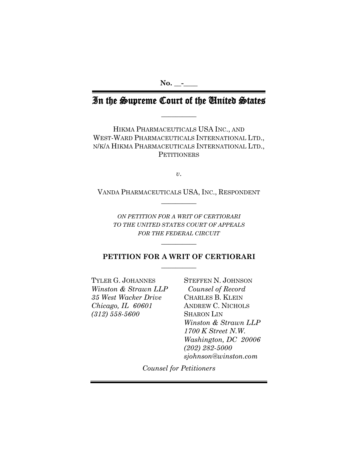**No. \_\_-\_\_\_\_** 

# In the Supreme Court of the United States

**\_\_\_\_\_\_\_\_\_\_** 

HIKMA PHARMACEUTICALS USA INC., AND WEST-WARD PHARMACEUTICALS INTERNATIONAL LTD., N/K/A HIKMA PHARMACEUTICALS INTERNATIONAL LTD., **PETITIONERS** 

*v*.

VANDA PHARMACEUTICALS USA, INC., RESPONDENT **\_\_\_\_\_\_\_\_\_\_** 

*ON PETITION FOR A WRIT OF CERTIORARI TO THE UNITED STATES COURT OF APPEALS FOR THE FEDERAL CIRCUIT*

# **PETITION FOR A WRIT OF CERTIORARI**  $\overline{\phantom{a}}$  , where  $\overline{\phantom{a}}$

**\_\_\_\_\_\_\_\_\_\_** 

TYLER G. JOHANNES STEFFEN N. JOHNSON *Winston & Strawn LLP Counsel of Record 35 West Wacker Drive* CHARLES B. KLEIN *Chicago, IL 60601* ANDREW C. NICHOLS *(312) 558-5600* SHARON LIN

*Winston & Strawn LLP 1700 K Street N.W. Washington, DC 20006 (202) 282-5000 sjohnson@winston.com*

*Counsel for Petitioners*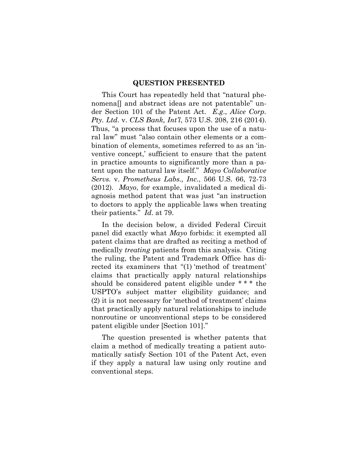#### **QUESTION PRESENTED**

This Court has repeatedly held that "natural phenomena[] and abstract ideas are not patentable" under Section 101 of the Patent Act. *E.g*., *Alice Corp. Pty. Ltd*. v. *CLS Bank, Int'l*, 573 U.S. 208, 216 (2014). Thus, "a process that focuses upon the use of a natural law" must "also contain other elements or a combination of elements, sometimes referred to as an 'inventive concept,' sufficient to ensure that the patent in practice amounts to significantly more than a patent upon the natural law itself." *Mayo Collaborative Servs.* v. *Prometheus Labs., Inc.*, 566 U.S. 66, 72-73 (2012). *Mayo*, for example, invalidated a medical diagnosis method patent that was just "an instruction to doctors to apply the applicable laws when treating their patients." *Id*. at 79.

In the decision below, a divided Federal Circuit panel did exactly what *Mayo* forbids: it exempted all patent claims that are drafted as reciting a method of medically *treating* patients from this analysis. Citing the ruling, the Patent and Trademark Office has directed its examiners that "(1) 'method of treatment' claims that practically apply natural relationships should be considered patent eligible under \* \* \* the USPTO's subject matter eligibility guidance; and (2) it is not necessary for 'method of treatment' claims that practically apply natural relationships to include nonroutine or unconventional steps to be considered patent eligible under [Section 101]."

The question presented is whether patents that claim a method of medically treating a patient automatically satisfy Section 101 of the Patent Act, even if they apply a natural law using only routine and conventional steps.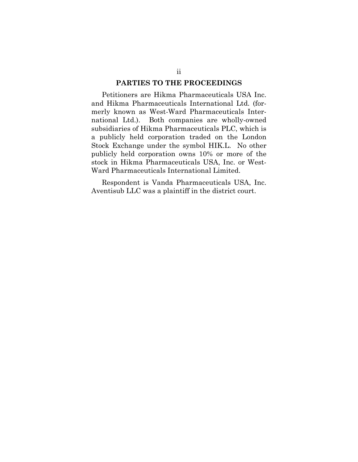#### **PARTIES TO THE PROCEEDINGS**

Petitioners are Hikma Pharmaceuticals USA Inc. and Hikma Pharmaceuticals International Ltd. (formerly known as West-Ward Pharmaceuticals International Ltd.). Both companies are wholly-owned subsidiaries of Hikma Pharmaceuticals PLC, which is a publicly held corporation traded on the London Stock Exchange under the symbol HIK.L. No other publicly held corporation owns 10% or more of the stock in Hikma Pharmaceuticals USA, Inc. or West-Ward Pharmaceuticals International Limited.

Respondent is Vanda Pharmaceuticals USA, Inc. Aventisub LLC was a plaintiff in the district court.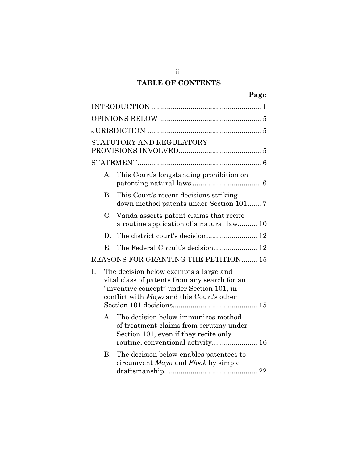# **TABLE OF CONTENTS**

iii

| STATUTORY AND REGULATORY<br>This Court's longstanding prohibition on<br>А.<br><b>B.</b><br>This Court's recent decisions striking<br>C.<br>Vanda asserts patent claims that recite<br>a routine application of a natural law 10<br>D.<br>Е. |
|---------------------------------------------------------------------------------------------------------------------------------------------------------------------------------------------------------------------------------------------|
|                                                                                                                                                                                                                                             |
|                                                                                                                                                                                                                                             |
|                                                                                                                                                                                                                                             |
|                                                                                                                                                                                                                                             |
|                                                                                                                                                                                                                                             |
|                                                                                                                                                                                                                                             |
|                                                                                                                                                                                                                                             |
|                                                                                                                                                                                                                                             |
|                                                                                                                                                                                                                                             |
|                                                                                                                                                                                                                                             |
| REASONS FOR GRANTING THE PETITION 15                                                                                                                                                                                                        |
| Ι.<br>The decision below exempts a large and<br>vital class of patents from any search for an<br>"inventive concept" under Section 101, in<br>conflict with Mayo and this Court's other                                                     |
| The decision below immunizes method-<br>A.<br>of treatment-claims from scrutiny under<br>Section 101, even if they recite only<br>routine, conventional activity 16                                                                         |
| The decision below enables patentees to<br>B.<br>circumvent Mayo and Flook by simple                                                                                                                                                        |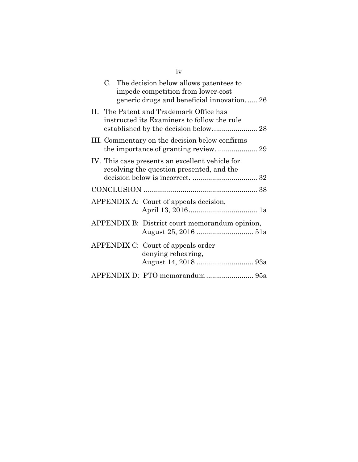| C. The decision below allows patentees to<br>impede competition from lower-cost<br>generic drugs and beneficial innovation 26 |
|-------------------------------------------------------------------------------------------------------------------------------|
| II. The Patent and Trademark Office has<br>instructed its Examiners to follow the rule                                        |
| III. Commentary on the decision below confirms                                                                                |
| IV. This case presents an excellent vehicle for<br>resolving the question presented, and the                                  |
|                                                                                                                               |
| APPENDIX A: Court of appeals decision,                                                                                        |
| APPENDIX B: District court memorandum opinion,                                                                                |
| APPENDIX C: Court of appeals order<br>denying rehearing,                                                                      |
| APPENDIX D: PTO memorandum  95a                                                                                               |

iv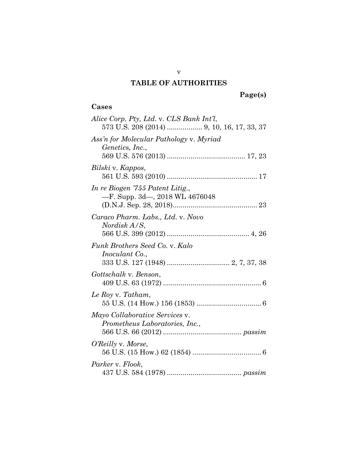# **TABLE OF AUTHORITIES**

# **Cases**

| Alice Corp. Pty, Ltd. v. CLS Bank Int'l,                             |
|----------------------------------------------------------------------|
| Ass'n for Molecular Pathology v. Myriad<br>Genetics, Inc.,           |
| Bilski v. Kappos,                                                    |
| In re Biogen '755 Patent Litig.,<br>$-F.$ Supp. 3d—, 2018 WL 4676048 |
| Caraco Pharm. Labs., Ltd. v. Novo<br>Nordisk A/S,                    |
| Funk Brothers Seed Co. v. Kalo<br><i>Inoculant Co.</i> ,             |
| Gottschalk v. Benson,                                                |
| Le Roy v. Tatham,                                                    |
| Mayo Collaborative Services v.<br>Prometheus Laboratories, Inc.,     |
| O'Reilly v. Morse,                                                   |
| Parker v. Flook,                                                     |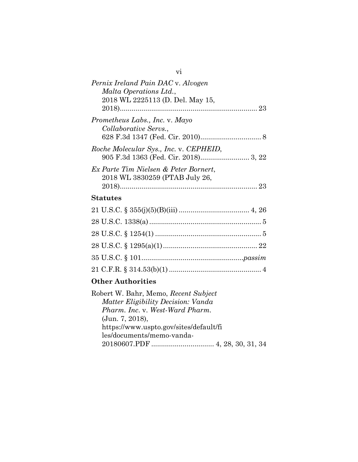| Pernix Ireland Pain DAC v. Alvogen     |
|----------------------------------------|
| Malta Operations Ltd.,                 |
| 2018 WL 2225113 (D. Del. May 15,       |
|                                        |
| Prometheus Labs., Inc. v. Mayo         |
| Collaborative Servs.,                  |
|                                        |
| Roche Molecular Sys., Inc. v. CEPHEID, |
|                                        |
| Ex Parte Tim Nielsen & Peter Bornert,  |
| 2018 WL 3830259 (PTAB July 26,         |
|                                        |
|                                        |
| <b>Statutes</b>                        |
|                                        |
|                                        |
|                                        |
|                                        |
|                                        |
|                                        |
|                                        |

# **Other Authorities**

| Robert W. Bahr, Memo, Recent Subject   |  |
|----------------------------------------|--|
| Matter Eligibility Decision: Vanda     |  |
| <i>Pharm. Inc. v. West-Ward Pharm.</i> |  |
| (Jun. 7, 2018),                        |  |
| https://www.uspto.gov/sites/default/fi |  |
| les/documents/memo-vanda-              |  |
|                                        |  |

21 C.F.R. § 314.53(b)(1)............................................... [4](#page-13-2)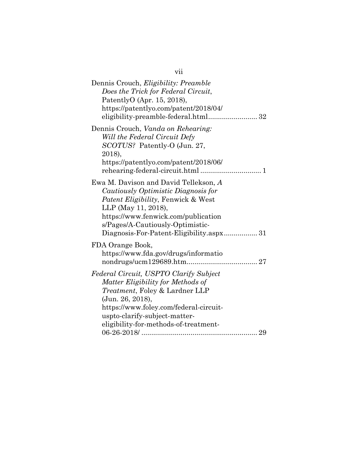| Dennis Crouch, <i>Eligibility: Preamble</i><br>Does the Trick for Federal Circuit,<br>PatentlyO (Apr. 15, 2018),<br>https://patentlyo.com/patent/2018/04/                                                                                                     |
|---------------------------------------------------------------------------------------------------------------------------------------------------------------------------------------------------------------------------------------------------------------|
| Dennis Crouch, Vanda on Rehearing:<br>Will the Federal Circuit Defy<br>SCOTUS? Patently-O (Jun. 27,<br>2018),<br>https://patentlyo.com/patent/2018/06/                                                                                                        |
| Ewa M. Davison and David Tellekson, A<br>Cautiously Optimistic Diagnosis for<br>Patent Eligibility, Fenwick & West<br>LLP (May 11, 2018),<br>https://www.fenwick.com/publication<br>s/Pages/A-Cautiously-Optimistic-                                          |
| FDA Orange Book,<br>https://www.fda.gov/drugs/informatio                                                                                                                                                                                                      |
| Federal Circuit, USPTO Clarify Subject<br>Matter Eligibility for Methods of<br>Treatment, Foley & Lardner LLP<br>(Jun. 26, 2018),<br>https://www.foley.com/federal-circuit-<br>uspto-clarify-subject-matter-<br>eligibility-for-methods-of-treatment-<br>. 29 |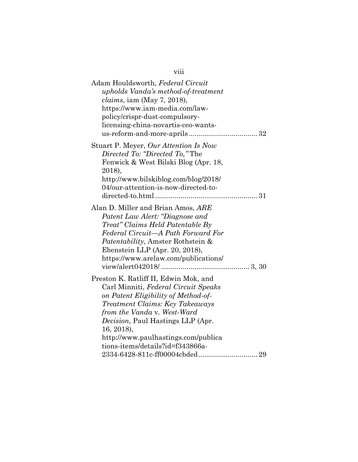| Adam Houldsworth, Federal Circuit<br>upholds Vanda's method-of-treatment<br>$clains$ , iam (May 7, 2018),<br>https://www.iam-media.com/law-<br>policy/crispr-dust-compulsory-<br>licensing-china-novartis-ceo-wants-                                                                                                         |
|------------------------------------------------------------------------------------------------------------------------------------------------------------------------------------------------------------------------------------------------------------------------------------------------------------------------------|
| Stuart P. Meyer, Our Attention Is Now<br>Directed To: "Directed To," The<br>Fenwick & West Bilski Blog (Apr. 18,<br>2018),<br>http://www.bilskiblog.com/blog/2018/<br>04/our-attention-is-now-directed-to-                                                                                                                   |
| Alan D. Miller and Brian Amos, ARE<br>Patent Law Alert: "Diagnose and<br>Treat" Claims Held Patentable By<br>Federal Circuit—A Path Forward For<br><i>Patentability</i> , Amster Rothstein &<br>Ebenstein LLP (Apr. 20, 2018),<br>https://www.arelaw.com/publications/                                                       |
| Preston K. Ratliff II, Edwin Mok, and<br>Carl Minniti, Federal Circuit Speaks<br>on Patent Eligibility of Method-of-<br>Treatment Claims: Key Takeaways<br>from the Vanda v. West-Ward<br><i>Decision</i> , Paul Hastings LLP (Apr.<br>16, 2018),<br>http://www.paulhastings.com/publica<br>tions-items/details?id=f343866a- |

viii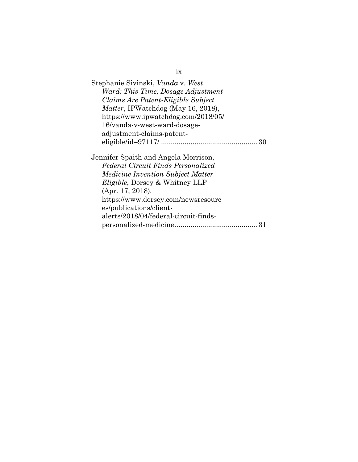| Stephanie Sivinski, Vanda v. West                                                                                                                                                    |
|--------------------------------------------------------------------------------------------------------------------------------------------------------------------------------------|
| Ward: This Time, Dosage Adjustment                                                                                                                                                   |
| Claims Are Patent-Eligible Subject                                                                                                                                                   |
| Matter, IPWatchdog (May 16, 2018),                                                                                                                                                   |
| https://www.ipwatchdog.com/2018/05/                                                                                                                                                  |
| 16/vanda-v-west-ward-dosage-                                                                                                                                                         |
| adjustment-claims-patent-                                                                                                                                                            |
|                                                                                                                                                                                      |
| Jennifer Spaith and Angela Morrison,<br>Federal Circuit Finds Personalized<br><i>Medicine Invention Subject Matter</i><br><i>Eligible</i> , Dorsey & Whitney LLP<br>(Apr. 17, 2018), |
| https://www.dorsey.com/newsresourc                                                                                                                                                   |
| es/publications/client-                                                                                                                                                              |
| alerts/2018/04/federal-circuit-finds-                                                                                                                                                |
|                                                                                                                                                                                      |

ix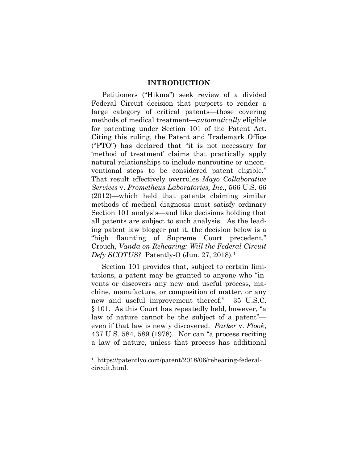#### **INTRODUCTION**

<span id="page-10-0"></span>Petitioners ("Hikma") seek review of a divided Federal Circuit decision that purports to render a large category of critical patents—those covering methods of medical treatment—*automatically* eligible for patenting under Section 101 of the Patent Act. Citing this ruling, the Patent and Trademark Office ("PTO") has declared that "it is not necessary for 'method of treatment' claims that practically apply natural relationships to include nonroutine or unconventional steps to be considered patent eligible." That result effectively overrules *Mayo Collaborative Services* v. *Prometheus Laboratories, Inc.*, 566 U.S. 66 (2012)—which held that patents claiming similar methods of medical diagnosis must satisfy ordinary Section 101 analysis—and like decisions holding that all patents are subject to such analysis. As the leading patent law blogger put it, the decision below is a "high flaunting of Supreme Court precedent." Crouch, *Vanda on Rehearing: Will the Federal Circuit Defy SCOTUS?* Patently-O (Jun. 27, 2018).[1](#page-10-2)

<span id="page-10-1"></span>Section 101 provides that, subject to certain limitations, a patent may be granted to anyone who "invents or discovers any new and useful process, machine, manufacture, or composition of matter, or any new and useful improvement thereof." 35 U.S.C. § 101. As this Court has repeatedly held, however, "a law of nature cannot be the subject of a patent" even if that law is newly discovered. *Parker* v. *Flook*, 437 U.S. 584, 589 (1978). Nor can "a process reciting a law of nature, unless that process has additional

 $\overline{a}$ 

<span id="page-10-2"></span><sup>1</sup> https://patentlyo.com/patent/2018/06/rehearing-federalcircuit.html.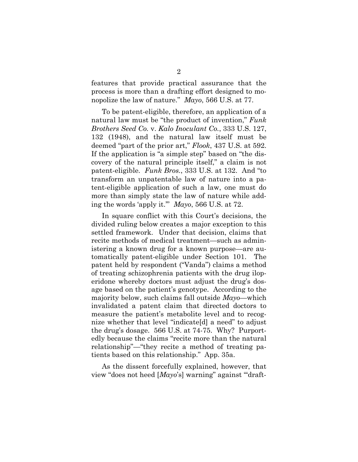features that provide practical assurance that the process is more than a drafting effort designed to monopolize the law of nature." *Mayo*, 566 U.S. at 77.

<span id="page-11-0"></span>To be patent-eligible, therefore, an application of a natural law must be "the product of invention," *Funk Brothers Seed Co.* v. *Kalo Inoculant Co.*, 333 U.S. 127, 132 (1948), and the natural law itself must be deemed "part of the prior art," *Flook*, 437 U.S. at 592. If the application is "a simple step" based on "the discovery of the natural principle itself," a claim is not patent-eligible. *Funk Bros.*, 333 U.S. at 132. And "to transform an unpatentable law of nature into a patent-eligible application of such a law, one must do more than simply state the law of nature while adding the words 'apply it.'" *Mayo*, 566 U.S. at 72.

In square conflict with this Court's decisions, the divided ruling below creates a major exception to this settled framework. Under that decision, claims that recite methods of medical treatment—such as administering a known drug for a known purpose—are automatically patent-eligible under Section 101. The patent held by respondent ("Vanda") claims a method of treating schizophrenia patients with the drug iloperidone whereby doctors must adjust the drug's dosage based on the patient's genotype. According to the majority below, such claims fall outside *Mayo*—which invalidated a patent claim that directed doctors to measure the patient's metabolite level and to recognize whether that level "indicate[d] a need" to adjust the drug's dosage. 566 U.S. at 74-75. Why? Purportedly because the claims "recite more than the natural relationship"—"they recite a method of treating patients based on this relationship." App. 35a.

As the dissent forcefully explained, however, that view "does not heed [*Mayo*'s] warning" against "'draft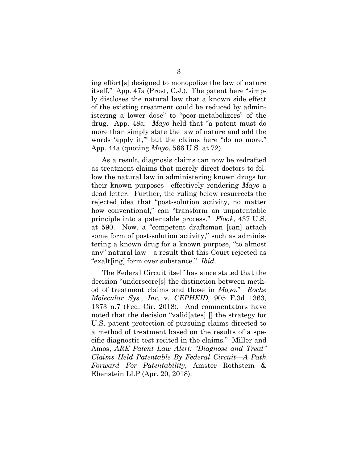ing effort[s] designed to monopolize the law of nature itself." App. 47a (Prost, C.J.). The patent here "simply discloses the natural law that a known side effect of the existing treatment could be reduced by administering a lower dose" to "poor-metabolizers" of the drug. App. 48a. *Mayo* held that "a patent must do more than simply state the law of nature and add the words 'apply it," but the claims here "do no more." App. 44a (quoting *Mayo*, 566 U.S. at 72).

As a result, diagnosis claims can now be redrafted as treatment claims that merely direct doctors to follow the natural law in administering known drugs for their known purposes—effectively rendering *Mayo* a dead letter. Further, the ruling below resurrects the rejected idea that "post-solution activity, no matter how conventional," can "transform an unpatentable principle into a patentable process." *Flook*, 437 U.S. at 590. Now, a "competent draftsman [can] attach some form of post-solution activity," such as administering a known drug for a known purpose, "to almost any" natural law—a result that this Court rejected as "exalt[ing] form over substance." *Ibid*.

<span id="page-12-1"></span><span id="page-12-0"></span>The Federal Circuit itself has since stated that the decision "underscore[s] the distinction between method of treatment claims and those in *Mayo*." *Roche Molecular Sys., Inc.* v. *CEPHEID*, 905 F.3d 1363, 1373 n.7 (Fed. Cir. 2018). And commentators have noted that the decision "valid[ates] [] the strategy for U.S. patent protection of pursuing claims directed to a method of treatment based on the results of a specific diagnostic test recited in the claims." Miller and Amos, *ARE Patent Law Alert: "Diagnose and Treat" Claims Held Patentable By Federal Circuit—A Path Forward For Patentability*, Amster Rothstein & Ebenstein LLP (Apr. 20, 2018).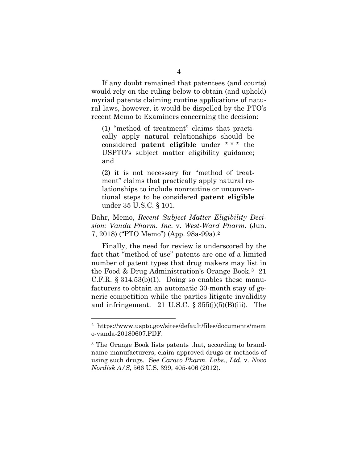If any doubt remained that patentees (and courts) would rely on the ruling below to obtain (and uphold) myriad patents claiming routine applications of natural laws, however, it would be dispelled by the PTO's recent Memo to Examiners concerning the decision:

(1) "method of treatment" claims that practically apply natural relationships should be considered **patent eligible** under \* \* \* the USPTO's subject matter eligibility guidance; and

(2) it is not necessary for "method of treatment" claims that practically apply natural relationships to include nonroutine or unconventional steps to be considered **patent eligible** under 35 U.S.C. § 101.

<span id="page-13-3"></span>Bahr, Memo, *Recent Subject Matter Eligibility Decision: Vanda Pharm. Inc*. v. *West-Ward Pharm.* (Jun. 7, 2018) ("PTO Memo") (App. 98a-99a).[2](#page-13-4)

<span id="page-13-2"></span>Finally, the need for review is underscored by the fact that "method of use" patents are one of a limited number of patent types that drug makers may list in the Food & Drug Administration's Orange Book.[3](#page-13-5) 21 C.F.R.  $\S 314.53(b)(1)$ . Doing so enables these manufacturers to obtain an automatic 30-month stay of generic competition while the parties litigate invalidity and infringement. 21 U.S.C.  $\S 355(j)(5)(B)(iii)$ . The

<span id="page-13-1"></span> $\overline{a}$ 

<span id="page-13-4"></span><sup>2</sup> https://www.uspto.gov/sites/default/files/documents/mem o-vanda-20180607.PDF.

<span id="page-13-5"></span><span id="page-13-0"></span><sup>3</sup> The Orange Book lists patents that, according to brandname manufacturers, claim approved drugs or methods of using such drugs. See *Caraco Pharm. Labs., Ltd*. v. *Novo Nordisk A/S*, 566 U.S. 399, 405-406 (2012).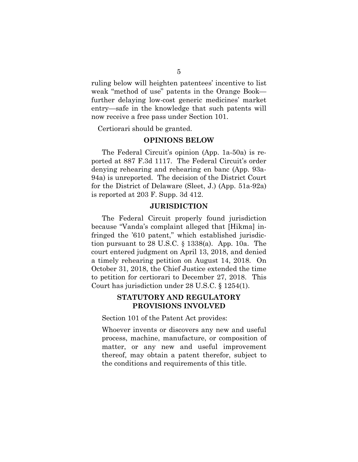ruling below will heighten patentees' incentive to list weak "method of use" patents in the Orange Book further delaying low-cost generic medicines' market entry—safe in the knowledge that such patents will now receive a free pass under Section 101.

<span id="page-14-0"></span>Certiorari should be granted.

#### **OPINIONS BELOW**

The Federal Circuit's opinion (App. 1a-50a) is reported at 887 F.3d 1117. The Federal Circuit's order denying rehearing and rehearing en banc (App. 93a-94a) is unreported. The decision of the District Court for the District of Delaware (Sleet, J.) (App. 51a-92a) is reported at 203 F. Supp. 3d 412.

#### <span id="page-14-3"></span>**JURISDICTION**

<span id="page-14-1"></span>The Federal Circuit properly found jurisdiction because "Vanda's complaint alleged that [Hikma] infringed the '610 patent," which established jurisdiction pursuant to 28 U.S.C. § 1338(a). App. 10a. The court entered judgment on April 13, 2018, and denied a timely rehearing petition on August 14, 2018. On October 31, 2018, the Chief Justice extended the time to petition for certiorari to December 27, 2018. This Court has jurisdiction under 28 U.S.C. § 1254(1).

## <span id="page-14-4"></span>**STATUTORY AND REGULATORY PROVISIONS INVOLVED**

<span id="page-14-2"></span>Section 101 of the Patent Act provides:

Whoever invents or discovers any new and useful process, machine, manufacture, or composition of matter, or any new and useful improvement thereof, may obtain a patent therefor, subject to the conditions and requirements of this title.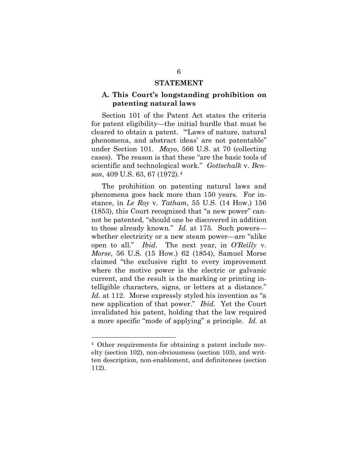#### <span id="page-15-2"></span>**STATEMENT**

# <span id="page-15-1"></span><span id="page-15-0"></span>**A. This Court's longstanding prohibition on patenting natural laws**

Section 101 of the Patent Act states the criteria for patent eligibility—the initial hurdle that must be cleared to obtain a patent. "'Laws of nature, natural phenomena, and abstract ideas' are not patentable" under Section 101. *Mayo*, 566 U.S. at 70 (collecting cases). The reason is that these "are the basic tools of scientific and technological work." *Gottschalk* v. *Benson*, 409 U.S. 63, 67 (1972).[4](#page-15-5)

<span id="page-15-4"></span><span id="page-15-3"></span>The prohibition on patenting natural laws and phenomena goes back more than 150 years. For instance, in *Le Roy* v. *Tatham*, 55 U.S. (14 How.) 156 (1853), this Court recognized that "a new power" cannot be patented, "should one be discovered in addition to those already known." *Id.* at 175. Such powers whether electricity or a new steam power—are "alike open to all." *Ibid*. The next year, in *O'Reilly* v. *Morse*, 56 U.S. (15 How.) 62 (1854), Samuel Morse claimed "the exclusive right to every improvement where the motive power is the electric or galvanic current, and the result is the marking or printing intelligible characters, signs, or letters at a distance." *Id.* at 112. Morse expressly styled his invention as "a new application of that power." *Ibid.* Yet the Court invalidated his patent, holding that the law required a more specific "mode of applying" a principle. *Id.* at

l

<span id="page-15-5"></span><sup>4</sup> Other requirements for obtaining a patent include novelty (section 102), non-obviousness (section 103), and written description, non-enablement, and definiteness (section 112).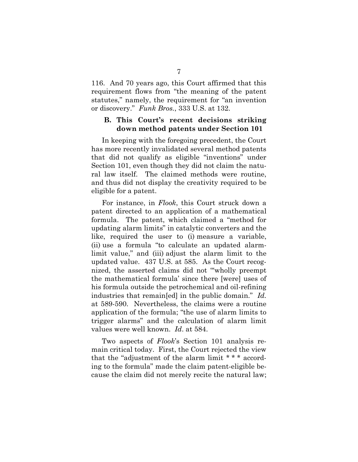116. And 70 years ago, this Court affirmed that this requirement flows from "the meaning of the patent statutes," namely, the requirement for "an invention or discovery." *Funk Bros.*, 333 U.S. at 132.

### <span id="page-16-1"></span><span id="page-16-0"></span>**B. This Court's recent decisions striking down method patents under Section 101**

In keeping with the foregoing precedent, the Court has more recently invalidated several method patents that did not qualify as eligible "inventions" under Section 101, even though they did not claim the natural law itself. The claimed methods were routine, and thus did not display the creativity required to be eligible for a patent.

For instance, in *Flook*, this Court struck down a patent directed to an application of a mathematical formula. The patent, which claimed a "method for updating alarm limits" in catalytic converters and the like, required the user to (i) measure a variable, (ii) use a formula "to calculate an updated alarmlimit value," and (iii) adjust the alarm limit to the updated value. 437 U.S. at 585. As the Court recognized, the asserted claims did not "'wholly preempt the mathematical formula' since there [were] uses of his formula outside the petrochemical and oil-refining industries that remain[ed] in the public domain." *Id.* at 589-590. Nevertheless, the claims were a routine application of the formula; "the use of alarm limits to trigger alarms" and the calculation of alarm limit values were well known. *Id*. at 584.

Two aspects of *Flook*'s Section 101 analysis remain critical today. First, the Court rejected the view that the "adjustment of the alarm limit \* \* \* according to the formula" made the claim patent-eligible because the claim did not merely recite the natural law;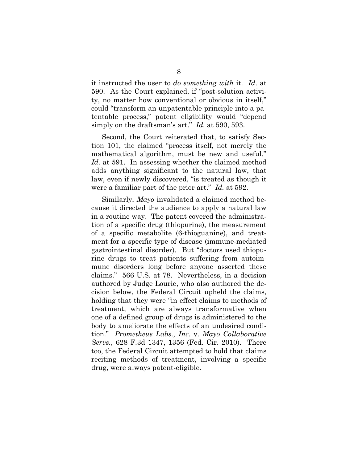it instructed the user to *do something with* it. *Id*. at 590. As the Court explained, if "post-solution activity, no matter how conventional or obvious in itself," could "transform an unpatentable principle into a patentable process," patent eligibility would "depend simply on the draftsman's art." *Id.* at 590, 593.

Second, the Court reiterated that, to satisfy Section 101, the claimed "process itself, not merely the mathematical algorithm, must be new and useful." *Id.* at 591. In assessing whether the claimed method adds anything significant to the natural law, that law, even if newly discovered, "is treated as though it were a familiar part of the prior art." *Id.* at 592.

<span id="page-17-0"></span>Similarly, *Mayo* invalidated a claimed method because it directed the audience to apply a natural law in a routine way. The patent covered the administration of a specific drug (thiopurine), the measurement of a specific metabolite (6-thioguanine), and treatment for a specific type of disease (immune-mediated gastrointestinal disorder). But "doctors used thiopurine drugs to treat patients suffering from autoimmune disorders long before anyone asserted these claims." 566 U.S. at 78. Nevertheless, in a decision authored by Judge Lourie, who also authored the decision below, the Federal Circuit upheld the claims, holding that they were "in effect claims to methods of treatment, which are always transformative when one of a defined group of drugs is administered to the body to ameliorate the effects of an undesired condition." *Prometheus Labs., Inc.* v. *Mayo Collaborative Servs.*, 628 F.3d 1347, 1356 (Fed. Cir. 2010). There too, the Federal Circuit attempted to hold that claims reciting methods of treatment, involving a specific drug, were always patent-eligible.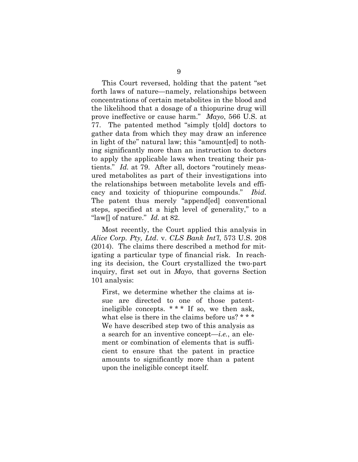This Court reversed, holding that the patent "set forth laws of nature—namely, relationships between concentrations of certain metabolites in the blood and the likelihood that a dosage of a thiopurine drug will prove ineffective or cause harm." *Mayo*, 566 U.S. at 77. The patented method "simply t[old] doctors to gather data from which they may draw an inference in light of the" natural law; this "amount[ed] to nothing significantly more than an instruction to doctors to apply the applicable laws when treating their patients." *Id.* at 79. After all, doctors "routinely measured metabolites as part of their investigations into the relationships between metabolite levels and efficacy and toxicity of thiopurine compounds." *Ibid.* The patent thus merely "append[ed] conventional steps, specified at a high level of generality," to a "law[] of nature." *Id.* at 82.

<span id="page-18-0"></span>Most recently, the Court applied this analysis in *Alice Corp. Pty, Ltd*. v. *CLS Bank Int'l*, 573 U.S. 208 (2014). The claims there described a method for mitigating a particular type of financial risk. In reaching its decision, the Court crystallized the two-part inquiry, first set out in *Mayo*, that governs Section 101 analysis:

First, we determine whether the claims at issue are directed to one of those patentineligible concepts. \*\*\* If so, we then ask, what else is there in the claims before us? \* \* \* We have described step two of this analysis as a search for an inventive concept—*i.e.*, an element or combination of elements that is sufficient to ensure that the patent in practice amounts to significantly more than a patent upon the ineligible concept itself.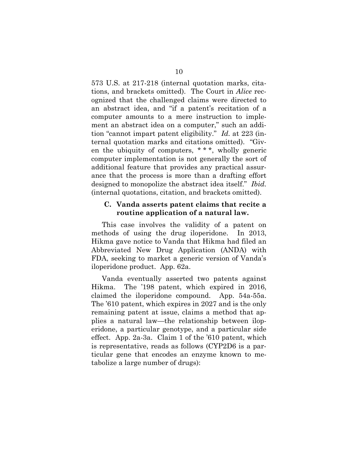<span id="page-19-1"></span>573 U.S. at 217-218 (internal quotation marks, citations, and brackets omitted). The Court in *Alice* recognized that the challenged claims were directed to an abstract idea, and "if a patent's recitation of a computer amounts to a mere instruction to implement an abstract idea on a computer," such an addition "cannot impart patent eligibility." *Id.* at 223 (internal quotation marks and citations omitted). "Given the ubiquity of computers, \* \* \*, wholly generic computer implementation is not generally the sort of additional feature that provides any practical assurance that the process is more than a drafting effort designed to monopolize the abstract idea itself." *Ibid.* (internal quotations, citation, and brackets omitted).

### <span id="page-19-0"></span>**C. Vanda asserts patent claims that recite a routine application of a natural law.**

This case involves the validity of a patent on methods of using the drug iloperidone. In 2013, Hikma gave notice to Vanda that Hikma had filed an Abbreviated New Drug Application (ANDA) with FDA, seeking to market a generic version of Vanda's iloperidone product. App. 62a.

Vanda eventually asserted two patents against Hikma. The '198 patent, which expired in 2016, claimed the iloperidone compound. App. 54a-55a. The '610 patent, which expires in 2027 and is the only remaining patent at issue, claims a method that applies a natural law—the relationship between iloperidone, a particular genotype, and a particular side effect. App. 2a-3a. Claim 1 of the '610 patent, which is representative, reads as follows (CYP2D6 is a particular gene that encodes an enzyme known to metabolize a large number of drugs):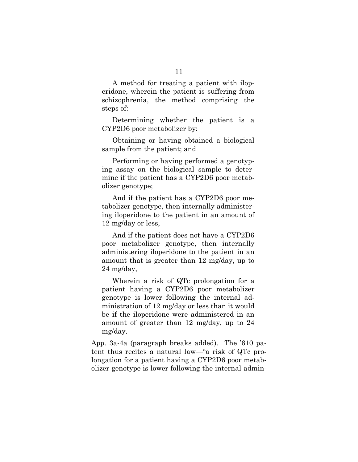A method for treating a patient with iloperidone, wherein the patient is suffering from schizophrenia, the method comprising the steps of:

Determining whether the patient is a CYP2D6 poor metabolizer by:

Obtaining or having obtained a biological sample from the patient; and

Performing or having performed a genotyping assay on the biological sample to determine if the patient has a CYP2D6 poor metabolizer genotype;

And if the patient has a CYP2D6 poor metabolizer genotype, then internally administering iloperidone to the patient in an amount of 12 mg/day or less,

And if the patient does not have a CYP2D6 poor metabolizer genotype, then internally administering iloperidone to the patient in an amount that is greater than 12 mg/day, up to 24 mg/day,

Wherein a risk of QTc prolongation for a patient having a CYP2D6 poor metabolizer genotype is lower following the internal administration of 12 mg/day or less than it would be if the iloperidone were administered in an amount of greater than 12 mg/day, up to 24 mg/day.

App. 3a-4a (paragraph breaks added). The '610 patent thus recites a natural law—"a risk of QTc prolongation for a patient having a CYP2D6 poor metabolizer genotype is lower following the internal admin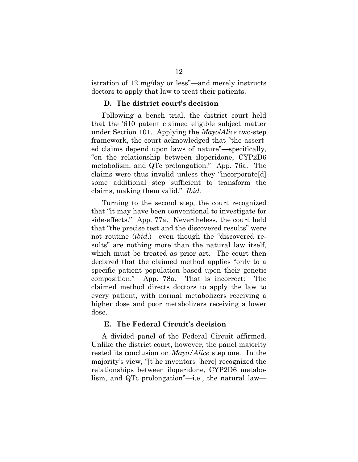istration of 12 mg/day or less"—and merely instructs doctors to apply that law to treat their patients.

#### **D. The district court's decision**

<span id="page-21-0"></span>Following a bench trial, the district court held that the '610 patent claimed eligible subject matter under Section 101. Applying the *Mayo*/*Alice* two-step framework, the court acknowledged that "the asserted claims depend upon laws of nature"—specifically, "on the relationship between iloperidone, CYP2D6 metabolism, and QTc prolongation." App. 76a. The claims were thus invalid unless they "incorporate[d] some additional step sufficient to transform the claims, making them valid." *Ibid.*

Turning to the second step, the court recognized that "it may have been conventional to investigate for side-effects." App. 77a. Nevertheless, the court held that "the precise test and the discovered results" were not routine (*ibid*.)—even though the "discovered results" are nothing more than the natural law itself, which must be treated as prior art. The court then declared that the claimed method applies "only to a specific patient population based upon their genetic composition." App. 78a. That is incorrect: The claimed method directs doctors to apply the law to every patient, with normal metabolizers receiving a higher dose and poor metabolizers receiving a lower dose.

### <span id="page-21-1"></span>**E. The Federal Circuit's decision**

A divided panel of the Federal Circuit affirmed. Unlike the district court, however, the panel majority rested its conclusion on *Mayo/Alice* step one. In the majority's view, "[t]he inventors [here] recognized the relationships between iloperidone, CYP2D6 metabolism, and QTc prolongation"—i.e., the natural law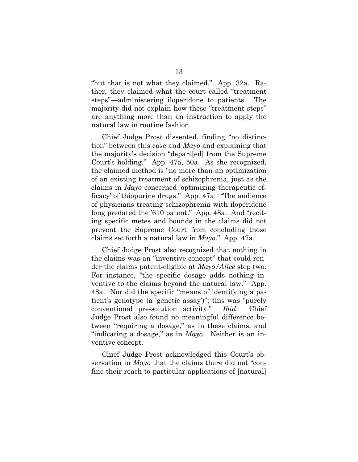"but that is not what they claimed." App. 32a. Rather, they claimed what the court called "treatment steps"—administering iloperidone to patients. The majority did not explain how these "treatment steps" are anything more than an instruction to apply the natural law in routine fashion.

Chief Judge Prost dissented, finding "no distinction" between this case and *Mayo* and explaining that the majority's decision "depart[ed] from the Supreme Court's holding." App. 47a, 50a. As she recognized, the claimed method is "no more than an optimization of an existing treatment of schizophrenia, just as the claims in *Mayo* concerned 'optimizing therapeutic efficacy' of thiopurine drugs." App. 47a. "The audience of physicians treating schizophrenia with iloperidone long predated the '610 patent." App. 48a. And "reciting specific metes and bounds in the claims did not prevent the Supreme Court from concluding those claims set forth a natural law in *Mayo*." App. 47a.

Chief Judge Prost also recognized that nothing in the claims was an "inventive concept" that could render the claims patent-eligible at *Mayo/Alice* step two. For instance, "the specific dosage adds nothing inventive to the claims beyond the natural law." App. 48a. Nor did the specific "means of identifying a patient's genotype (a 'genetic assay')"; this was "purely conventional pre-solution activity." *Ibid*. Chief Judge Prost also found no meaningful difference between "requiring a dosage," as in these claims, and "indicating a dosage," as in *Mayo*. Neither is an inventive concept.

Chief Judge Prost acknowledged this Court's observation in *Mayo* that the claims there did not "confine their reach to particular applications of [natural]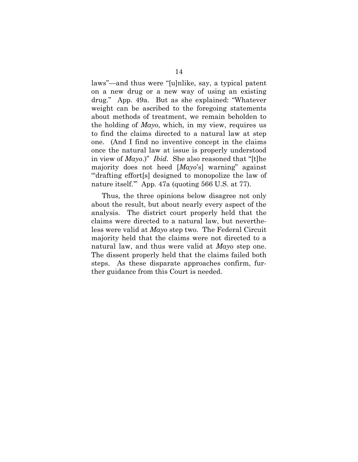laws"—and thus were "[u]nlike, say, a typical patent on a new drug or a new way of using an existing drug." App. 49a. But as she explained: "Whatever weight can be ascribed to the foregoing statements about methods of treatment, we remain beholden to the holding of *Mayo*, which, in my view, requires us to find the claims directed to a natural law at step one. (And I find no inventive concept in the claims once the natural law at issue is properly understood in view of *Mayo*.)" *Ibid.* She also reasoned that "[t]he majority does not heed [*Mayo*'s] warning" against "'drafting effort[s] designed to monopolize the law of nature itself." App. 47a (quoting 566 U.S. at 77).

Thus, the three opinions below disagree not only about the result, but about nearly every aspect of the analysis. The district court properly held that the claims were directed to a natural law, but nevertheless were valid at *Mayo* step two. The Federal Circuit majority held that the claims were not directed to a natural law, and thus were valid at *Mayo* step one. The dissent properly held that the claims failed both steps. As these disparate approaches confirm, further guidance from this Court is needed.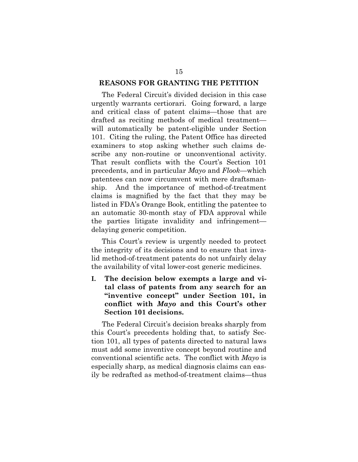#### <span id="page-24-0"></span>**REASONS FOR GRANTING THE PETITION**

The Federal Circuit's divided decision in this case urgently warrants certiorari. Going forward, a large and critical class of patent claims—those that are drafted as reciting methods of medical treatment will automatically be patent-eligible under Section 101. Citing the ruling, the Patent Office has directed examiners to stop asking whether such claims describe any non-routine or unconventional activity. That result conflicts with the Court's Section 101 precedents, and in particular *Mayo* and *Flook*—which patentees can now circumvent with mere draftsmanship. And the importance of method-of-treatment claims is magnified by the fact that they may be listed in FDA's Orange Book, entitling the patentee to an automatic 30-month stay of FDA approval while the parties litigate invalidity and infringement delaying generic competition.

This Court's review is urgently needed to protect the integrity of its decisions and to ensure that invalid method-of-treatment patents do not unfairly delay the availability of vital lower-cost generic medicines.

<span id="page-24-1"></span>**I. The decision below exempts a large and vital class of patents from any search for an "inventive concept" under Section 101, in conflict with** *Mayo* **and this Court's other Section 101 decisions.** 

The Federal Circuit's decision breaks sharply from this Court's precedents holding that, to satisfy Section 101, all types of patents directed to natural laws must add some inventive concept beyond routine and conventional scientific acts. The conflict with *Mayo* is especially sharp, as medical diagnosis claims can easily be redrafted as method-of-treatment claims—thus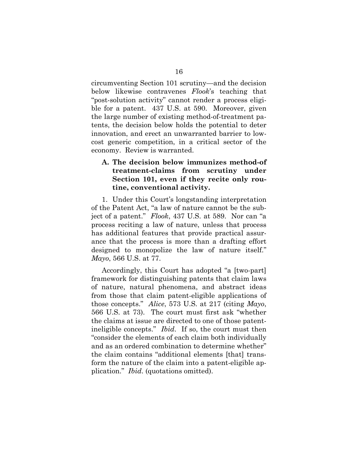circumventing Section 101 scrutiny—and the decision below likewise contravenes *Flook*'s teaching that "post-solution activity" cannot render a process eligible for a patent. 437 U.S. at 590. Moreover, given the large number of existing method-of-treatment patents, the decision below holds the potential to deter innovation, and erect an unwarranted barrier to lowcost generic competition, in a critical sector of the economy. Review is warranted.

# <span id="page-25-0"></span>**A. The decision below immunizes method-of treatment-claims from scrutiny under Section 101, even if they recite only routine, conventional activity.**

1. Under this Court's longstanding interpretation of the Patent Act, "a law of nature cannot be the subject of a patent." *Flook*, 437 U.S. at 589. Nor can "a process reciting a law of nature, unless that process has additional features that provide practical assurance that the process is more than a drafting effort designed to monopolize the law of nature itself." *Mayo*, 566 U.S. at 77.

<span id="page-25-1"></span>Accordingly, this Court has adopted "a [two-part] framework for distinguishing patents that claim laws of nature, natural phenomena, and abstract ideas from those that claim patent-eligible applications of those concepts." *Alice*, 573 U.S. at 217 (citing *Mayo*, 566 U.S. at 73). The court must first ask "whether the claims at issue are directed to one of those patentineligible concepts." *Ibid*. If so, the court must then "consider the elements of each claim both individually and as an ordered combination to determine whether" the claim contains "additional elements [that] transform the nature of the claim into a patent-eligible application." *Ibid*. (quotations omitted).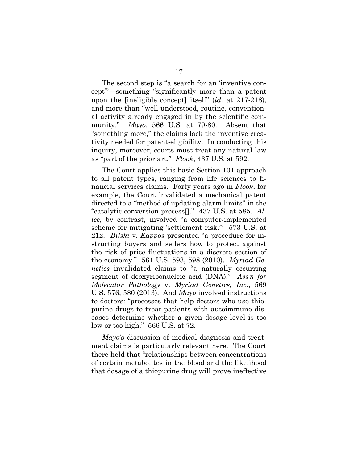<span id="page-26-0"></span>The second step is "a search for an 'inventive concept'"—something "significantly more than a patent upon the [ineligible concept] itself" (*id.* at 217-218), and more than "well-understood, routine, conventional activity already engaged in by the scientific community." *Mayo*, 566 U.S. at 79-80. Absent that "something more," the claims lack the inventive creativity needed for patent-eligibility. In conducting this inquiry, moreover, courts must treat any natural law as "part of the prior art." *Flook*, 437 U.S. at 592.

<span id="page-26-2"></span>The Court applies this basic Section 101 approach to all patent types, ranging from life sciences to financial services claims. Forty years ago in *Flook*, for example, the Court invalidated a mechanical patent directed to a "method of updating alarm limits" in the "catalytic conversion process[]." 437 U.S. at 585. *Alice*, by contrast, involved "a computer-implemented scheme for mitigating 'settlement risk.'" 573 U.S. at 212. *Bilski* v. *Kappos* presented "a procedure for instructing buyers and sellers how to protect against the risk of price fluctuations in a discrete section of the economy." 561 U.S. 593, 598 (2010). *Myriad Genetics* invalidated claims to "a naturally occurring segment of deoxyribonucleic acid (DNA)." *Ass'n for Molecular Pathology* v. *Myriad Genetics, Inc.*, 569 U.S. 576, 580 (2013). And *Mayo* involved instructions to doctors: "processes that help doctors who use thiopurine drugs to treat patients with autoimmune diseases determine whether a given dosage level is too low or too high." 566 U.S. at 72.

<span id="page-26-1"></span>*Mayo*'s discussion of medical diagnosis and treatment claims is particularly relevant here. The Court there held that "relationships between concentrations of certain metabolites in the blood and the likelihood that dosage of a thiopurine drug will prove ineffective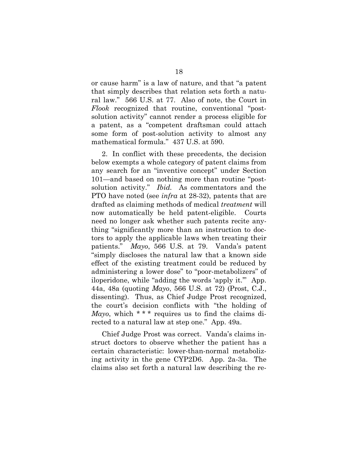or cause harm" is a law of nature, and that "a patent that simply describes that relation sets forth a natural law." 566 U.S. at 77. Also of note, the Court in *Flook* recognized that routine, conventional "postsolution activity" cannot render a process eligible for a patent, as a "competent draftsman could attach some form of post-solution activity to almost any mathematical formula." 437 U.S. at 590.

2. In conflict with these precedents, the decision below exempts a whole category of patent claims from any search for an "inventive concept" under Section 101—and based on nothing more than routine "postsolution activity." *Ibid.* As commentators and the PTO have noted (see *infra* at 28-32), patents that are drafted as claiming methods of medical *treatment* will now automatically be held patent-eligible. Courts need no longer ask whether such patents recite anything "significantly more than an instruction to doctors to apply the applicable laws when treating their patients." *Mayo*, 566 U.S. at 79. Vanda's patent "simply discloses the natural law that a known side effect of the existing treatment could be reduced by administering a lower dose" to "poor-metabolizers" of iloperidone, while "adding the words 'apply it.'" App. 44a, 48a (quoting *Mayo*, 566 U.S. at 72) (Prost, C.J., dissenting). Thus, as Chief Judge Prost recognized, the court's decision conflicts with "the holding of *Mayo*, which \*\*\* requires us to find the claims directed to a natural law at step one." App. 49a.

Chief Judge Prost was correct. Vanda's claims instruct doctors to observe whether the patient has a certain characteristic: lower-than-normal metabolizing activity in the gene CYP2D6. App. 2a-3a. The claims also set forth a natural law describing the re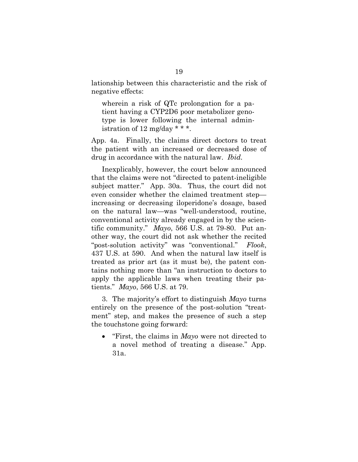lationship between this characteristic and the risk of negative effects:

wherein a risk of QTc prolongation for a patient having a CYP2D6 poor metabolizer genotype is lower following the internal administration of 12 mg/day  $* * *$ .

App. 4a. Finally, the claims direct doctors to treat the patient with an increased or decreased dose of drug in accordance with the natural law. *Ibid.*

Inexplicably, however, the court below announced that the claims were not "directed to patent-ineligible subject matter." App. 30a. Thus, the court did not even consider whether the claimed treatment step increasing or decreasing iloperidone's dosage, based on the natural law—was "well-understood, routine, conventional activity already engaged in by the scientific community." *Mayo*, 566 U.S. at 79-80. Put another way, the court did not ask whether the recited "post-solution activity" was "conventional." *Flook*, 437 U.S. at 590. And when the natural law itself is treated as prior art (as it must be), the patent contains nothing more than "an instruction to doctors to apply the applicable laws when treating their patients." *Mayo*, 566 U.S. at 79.

3. The majority's effort to distinguish *Mayo* turns entirely on the presence of the post-solution "treatment" step, and makes the presence of such a step the touchstone going forward:

• "First, the claims in *Mayo* were not directed to a novel method of treating a disease." App. 31a.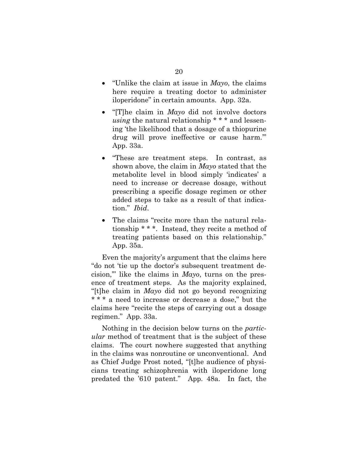- "Unlike the claim at issue in *Mayo*, the claims here require a treating doctor to administer iloperidone" in certain amounts. App. 32a.
- "[T]he claim in *Mayo* did not involve doctors *using* the natural relationship \* \* \* and lessening 'the likelihood that a dosage of a thiopurine drug will prove ineffective or cause harm.'" App. 33a.
- "These are treatment steps. In contrast, as shown above, the claim in *Mayo* stated that the metabolite level in blood simply 'indicates' a need to increase or decrease dosage, without prescribing a specific dosage regimen or other added steps to take as a result of that indication." *Ibid*.
- The claims "recite more than the natural relationship \* \* \*. Instead, they recite a method of treating patients based on this relationship." App. 35a.

Even the majority's argument that the claims here "do not 'tie up the doctor's subsequent treatment decision,'" like the claims in *Mayo*, turns on the presence of treatment steps. As the majority explained, "[t]he claim in *Mayo* did not go beyond recognizing \* \* \* a need to increase or decrease a dose," but the claims here "recite the steps of carrying out a dosage regimen." App. 33a.

Nothing in the decision below turns on the *particular* method of treatment that is the subject of these claims. The court nowhere suggested that anything in the claims was nonroutine or unconventional. And as Chief Judge Prost noted, "[t]he audience of physicians treating schizophrenia with iloperidone long predated the '610 patent." App. 48a. In fact, the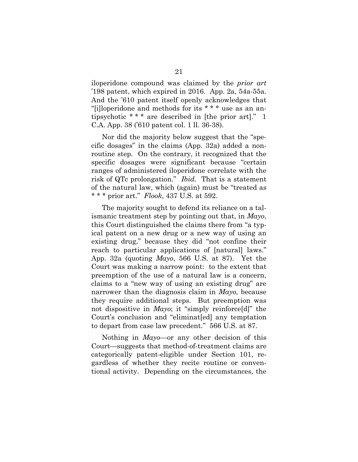iloperidone compound was claimed by the *prior art* '198 patent, which expired in 2016. App. 2a, 54a-55a. And the '610 patent itself openly acknowledges that "[i]loperidone and methods for its \* \* \* use as an antipsychotic \* \* \* are described in [the prior art]." 1 C.A. App. 38 ('610 patent col. 1 ll. 36-38).

Nor did the majority below suggest that the "specific dosages" in the claims (App. 32a) added a nonroutine step. On the contrary, it recognized that the specific dosages were significant because "certain ranges of administered iloperidone correlate with the risk of QTc prolongation." *Ibid.* That is a statement of the natural law, which (again) must be "treated as \* \* \* prior art." *Flook*, 437 U.S. at 592.

The majority sought to defend its reliance on a talismanic treatment step by pointing out that, in *Mayo*, this Court distinguished the claims there from "a typical patent on a new drug or a new way of using an existing drug," because they did "not confine their reach to particular applications of [natural] laws." App. 32a (quoting *Mayo*, 566 U.S. at 87). Yet the Court was making a narrow point: to the extent that preemption of the use of a natural law is a concern, claims to a "new way of using an existing drug" are narrower than the diagnosis claim in *Mayo*, because they require additional steps. But preemption was not dispositive in *Mayo*; it "simply reinforce[d]" the Court's conclusion and "eliminat[ed] any temptation to depart from case law precedent." 566 U.S. at 87.

Nothing in *Mayo*—or any other decision of this Court—suggests that method-of-treatment claims are categorically patent-eligible under Section 101, regardless of whether they recite routine or conventional activity. Depending on the circumstances, the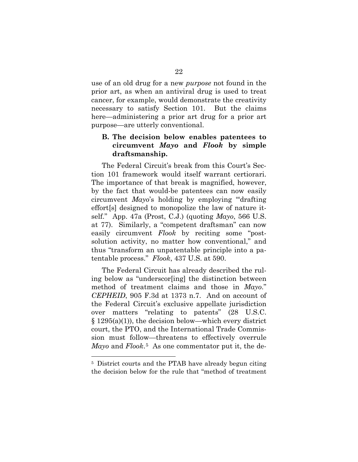use of an old drug for a new *purpose* not found in the prior art, as when an antiviral drug is used to treat cancer, for example, would demonstrate the creativity necessary to satisfy Section 101. But the claims here—administering a prior art drug for a prior art purpose—are utterly conventional.

# <span id="page-31-0"></span>**B. The decision below enables patentees to circumvent** *Mayo* **and** *Flook* **by simple draftsmanship.**

The Federal Circuit's break from this Court's Section 101 framework would itself warrant certiorari. The importance of that break is magnified, however, by the fact that would-be patentees can now easily circumvent *Mayo*'s holding by employing "'drafting effort[s] designed to monopolize the law of nature itself." App. 47a (Prost, C.J.) (quoting *Mayo*, 566 U.S. at 77). Similarly, a "competent draftsman" can now easily circumvent *Flook* by reciting some "postsolution activity, no matter how conventional," and thus "transform an unpatentable principle into a patentable process." *Flook*, 437 U.S. at 590.

<span id="page-31-2"></span><span id="page-31-1"></span>The Federal Circuit has already described the ruling below as "underscor[ing] the distinction between method of treatment claims and those in *Mayo*." *CEPHEID*, 905 F.3d at 1373 n.7. And on account of the Federal Circuit's exclusive appellate jurisdiction over matters "relating to patents" (28 U.S.C.  $§ 1295(a)(1)$ , the decision below—which every district court, the PTO, and the International Trade Commission must follow—threatens to effectively overrule *Mayo* and *Flook*.[5](#page-31-3) As one commentator put it, the de-

 $\overline{a}$ 

<span id="page-31-3"></span><sup>5</sup> District courts and the PTAB have already begun citing the decision below for the rule that "method of treatment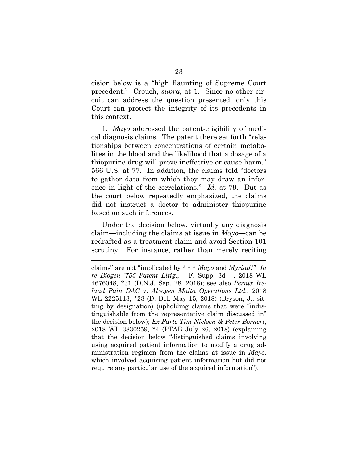cision below is a "high flaunting of Supreme Court precedent." Crouch, *supra*, at 1. Since no other circuit can address the question presented, only this Court can protect the integrity of its precedents in this context.

1. *Mayo* addressed the patent-eligibility of medical diagnosis claims. The patent there set forth "relationships between concentrations of certain metabolites in the blood and the likelihood that a dosage of a thiopurine drug will prove ineffective or cause harm." 566 U.S. at 77. In addition, the claims told "doctors to gather data from which they may draw an inference in light of the correlations." *Id.* at 79. But as the court below repeatedly emphasized, the claims did not instruct a doctor to administer thiopurine based on such inferences.

Under the decision below, virtually any diagnosis claim—including the claims at issue in *Mayo*—can be redrafted as a treatment claim and avoid Section 101 scrutiny. For instance, rather than merely reciting

<span id="page-32-2"></span><span id="page-32-1"></span><span id="page-32-0"></span>l

<span id="page-32-3"></span>claims" are not "implicated by \* \* \* *Mayo* and *Myriad*.'" *In re Biogen '755 Patent Litig*., —F. Supp. 3d— , 2018 WL 4676048, \*31 (D.N.J. Sep. 28, 2018); see also *Pernix Ireland Pain DAC* v. *Alvogen Malta Operations Ltd.*, 2018 WL 2225113, \*23 (D. Del. May 15, 2018) (Bryson, J., sitting by designation) (upholding claims that were "indistinguishable from the representative claim discussed in" the decision below); *Ex Parte Tim Nielsen & Peter Bornert*, 2018 WL 3830259, \*4 (PTAB July 26, 2018) (explaining that the decision below "distinguished claims involving using acquired patient information to modify a drug administration regimen from the claims at issue in *Mayo*, which involved acquiring patient information but did not require any particular use of the acquired information").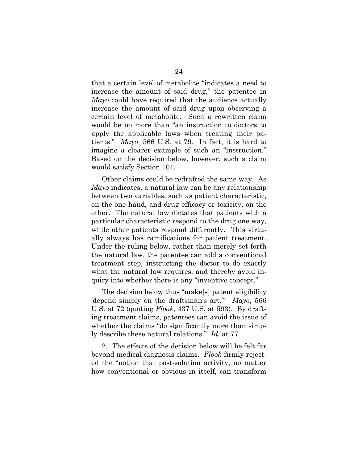that a certain level of metabolite "indicates a need to increase the amount of said drug," the patentee in *Mayo* could have required that the audience actually increase the amount of said drug upon observing a certain level of metabolite. Such a rewritten claim would be no more than "an instruction to doctors to apply the applicable laws when treating their patients." *Mayo*, 566 U.S. at 79. In fact, it is hard to imagine a clearer example of such an "instruction." Based on the decision below, however, such a claim would satisfy Section 101.

Other claims could be redrafted the same way. As *Mayo* indicates, a natural law can be any relationship between two variables, such as patient characteristic, on the one hand, and drug efficacy or toxicity, on the other. The natural law dictates that patients with a particular characteristic respond to the drug one way, while other patients respond differently. This virtually always has ramifications for patient treatment. Under the ruling below, rather than merely set forth the natural law, the patentee can add a conventional treatment step, instructing the doctor to do exactly what the natural law requires, and thereby avoid inquiry into whether there is any "inventive concept."

The decision below thus "make[s] patent eligibility 'depend simply on the draftsman's art.'" *Mayo*, 566 U.S. at 72 (quoting *Flook*, 437 U.S. at 593). By drafting treatment claims, patentees can avoid the issue of whether the claims "do significantly more than simply describe these natural relations." *Id.* at 77.

2. The effects of the decision below will be felt far beyond medical diagnosis claims. *Flook* firmly rejected the "notion that post-solution activity, no matter how conventional or obvious in itself, can transform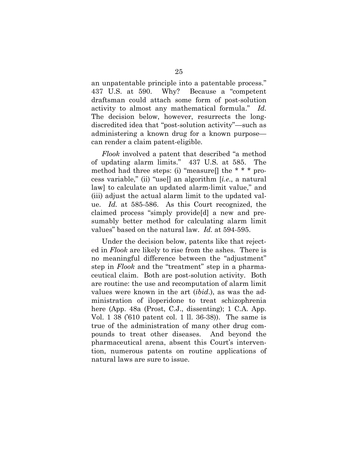an unpatentable principle into a patentable process." 437 U.S. at 590. Why? Because a "competent draftsman could attach some form of post-solution activity to almost any mathematical formula." *Id.* The decision below, however, resurrects the longdiscredited idea that "post-solution activity"—such as administering a known drug for a known purpose can render a claim patent-eligible.

*Flook* involved a patent that described "a method of updating alarm limits." 437 U.S. at 585. The method had three steps: (i) "measure. The \* \* \* process variable," (ii) "use[] an algorithm [*i.e*., a natural law] to calculate an updated alarm-limit value," and (iii) adjust the actual alarm limit to the updated value. *Id.* at 585-586. As this Court recognized, the claimed process "simply provide[d] a new and presumably better method for calculating alarm limit values" based on the natural law. *Id.* at 594-595.

Under the decision below, patents like that rejected in *Flook* are likely to rise from the ashes. There is no meaningful difference between the "adjustment" step in *Flook* and the "treatment" step in a pharmaceutical claim. Both are post-solution activity. Both are routine: the use and recomputation of alarm limit values were known in the art (*ibid*.), as was the administration of iloperidone to treat schizophrenia here (App. 48a (Prost, C.J., dissenting); 1 C.A. App. Vol. 1 38 ('610 patent col. 1 ll. 36-38)). The same is true of the administration of many other drug compounds to treat other diseases. And beyond the pharmaceutical arena, absent this Court's intervention, numerous patents on routine applications of natural laws are sure to issue.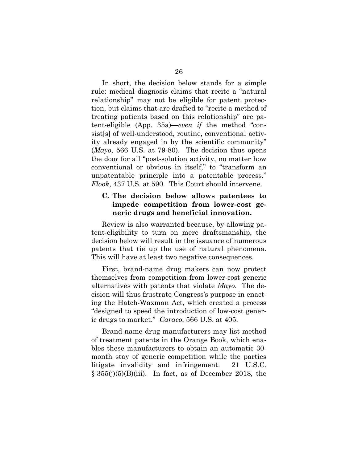In short, the decision below stands for a simple rule: medical diagnosis claims that recite a "natural relationship" may not be eligible for patent protection, but claims that are drafted to "recite a method of treating patients based on this relationship" are patent-eligible (App. 35a)—*even if* the method "consist[s] of well-understood, routine, conventional activity already engaged in by the scientific community" (*Mayo*, 566 U.S. at 79-80). The decision thus opens the door for all "post-solution activity, no matter how conventional or obvious in itself," to "transform an unpatentable principle into a patentable process." *Flook*, 437 U.S. at 590. This Court should intervene.

# <span id="page-35-0"></span>**C. The decision below allows patentees to impede competition from lower-cost generic drugs and beneficial innovation.**

Review is also warranted because, by allowing patent-eligibility to turn on mere draftsmanship, the decision below will result in the issuance of numerous patents that tie up the use of natural phenomena. This will have at least two negative consequences.

First, brand-name drug makers can now protect themselves from competition from lower-cost generic alternatives with patents that violate *Mayo*. The decision will thus frustrate Congress's purpose in enacting the Hatch-Waxman Act, which created a process "designed to speed the introduction of low-cost generic drugs to market." *Caraco*, 566 U.S. at 405.

<span id="page-35-2"></span><span id="page-35-1"></span>Brand-name drug manufacturers may list method of treatment patents in the Orange Book, which enables these manufacturers to obtain an automatic 30 month stay of generic competition while the parties litigate invalidity and infringement. 21 U.S.C.  $\S 355(j)(5)(B)(iii)$ . In fact, as of December 2018, the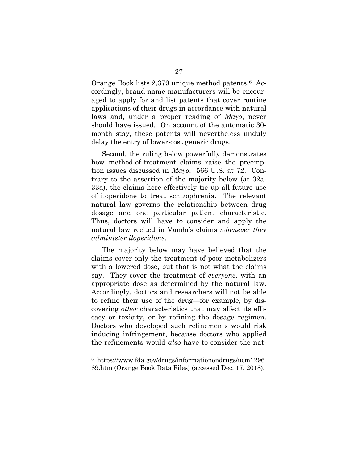Orange Book lists 2,379 unique method patents.[6](#page-36-1) Accordingly, brand-name manufacturers will be encouraged to apply for and list patents that cover routine applications of their drugs in accordance with natural laws and, under a proper reading of *Mayo*, never should have issued. On account of the automatic 30 month stay, these patents will nevertheless unduly delay the entry of lower-cost generic drugs.

Second, the ruling below powerfully demonstrates how method-of-treatment claims raise the preemption issues discussed in *Mayo*. 566 U.S. at 72. Contrary to the assertion of the majority below (at 32a-33a), the claims here effectively tie up all future use of iloperidone to treat schizophrenia. The relevant natural law governs the relationship between drug dosage and one particular patient characteristic. Thus, doctors will have to consider and apply the natural law recited in Vanda's claims *whenever they administer iloperidone*.

The majority below may have believed that the claims cover only the treatment of poor metabolizers with a lowered dose, but that is not what the claims say. They cover the treatment of *everyone*, with an appropriate dose as determined by the natural law. Accordingly, doctors and researchers will not be able to refine their use of the drug—for example, by discovering *other* characteristics that may affect its efficacy or toxicity, or by refining the dosage regimen. Doctors who developed such refinements would risk inducing infringement, because doctors who applied the refinements would *also* have to consider the nat-

 $\overline{a}$ 

<span id="page-36-1"></span><span id="page-36-0"></span><sup>6</sup> https://www.fda.gov/drugs/informationondrugs/ucm1296 89.htm (Orange Book Data Files) (accessed Dec. 17, 2018).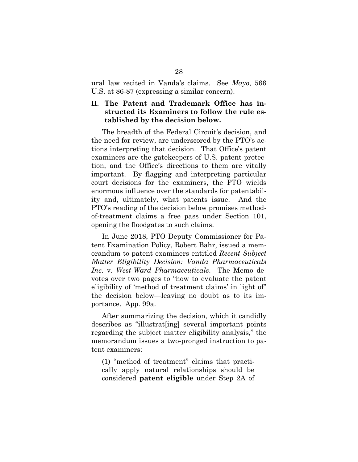ural law recited in Vanda's claims. See *Mayo*, 566 U.S. at 86-87 (expressing a similar concern).

## <span id="page-37-0"></span>**II. The Patent and Trademark Office has instructed its Examiners to follow the rule established by the decision below.**

The breadth of the Federal Circuit's decision, and the need for review, are underscored by the PTO's actions interpreting that decision. That Office's patent examiners are the gatekeepers of U.S. patent protection, and the Office's directions to them are vitally important. By flagging and interpreting particular court decisions for the examiners, the PTO wields enormous influence over the standards for patentability and, ultimately, what patents issue. And the PTO's reading of the decision below promises methodof-treatment claims a free pass under Section 101, opening the floodgates to such claims.

<span id="page-37-1"></span>In June 2018, PTO Deputy Commissioner for Patent Examination Policy, Robert Bahr, issued a memorandum to patent examiners entitled *Recent Subject Matter Eligibility Decision: Vanda Pharmaceuticals Inc*. v. *West-Ward Pharmaceuticals*. The Memo devotes over two pages to "how to evaluate the patent eligibility of 'method of treatment claims' in light of" the decision below—leaving no doubt as to its importance. App. 99a.

After summarizing the decision, which it candidly describes as "illustrat[ing] several important points regarding the subject matter eligibility analysis," the memorandum issues a two-pronged instruction to patent examiners:

(1) "method of treatment" claims that practically apply natural relationships should be considered **patent eligible** under Step 2A of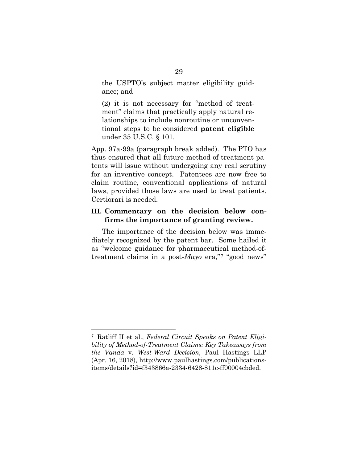the USPTO's subject matter eligibility guidance; and

(2) it is not necessary for "method of treatment" claims that practically apply natural relationships to include nonroutine or unconventional steps to be considered **patent eligible** under 35 U.S.C. § 101.

App. 97a-99a (paragraph break added). The PTO has thus ensured that all future method-of-treatment patents will issue without undergoing any real scrutiny for an inventive concept. Patentees are now free to claim routine, conventional applications of natural laws, provided those laws are used to treat patients. Certiorari is needed.

## <span id="page-38-0"></span>**III. Commentary on the decision below confirms the importance of granting review.**

The importance of the decision below was immediately recognized by the patent bar. Some hailed it as "welcome guidance for pharmaceutical method-oftreatment claims in a post-*Mayo* era,"[7](#page-38-2) "good news"

<span id="page-38-2"></span><span id="page-38-1"></span> $\overline{a}$ 7 Ratliff II et al., *Federal Circuit Speaks on Patent Eligibility of Method-of-Treatment Claims: Key Takeaways from the Vanda* v. *West-Ward Decision*, Paul Hastings LLP (Apr. 16, 2018), http://www.paulhastings.com/publicationsitems/details?id=f343866a-2334-6428-811c-ff00004cbded.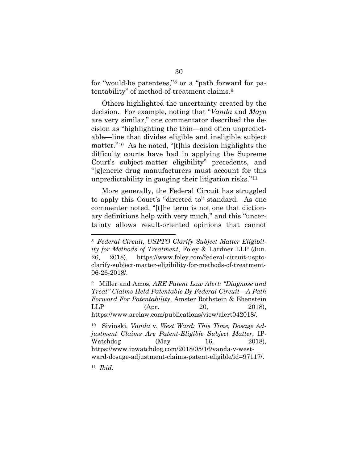for "would-be patentees,"[8](#page-39-4) or a "path forward for patentability" of method-of-treatment claims.[9](#page-39-5)

<span id="page-39-0"></span>Others highlighted the uncertainty created by the decision. For example, noting that "*Vanda* and *Mayo* are very similar," one commentator described the decision as "highlighting the thin—and often unpredictable—line that divides eligible and ineligible subject matter."[10](#page-39-6) As he noted, "[t]his decision highlights the difficulty courts have had in applying the Supreme Court's subject-matter eligibility" precedents, and "[g]eneric drug manufacturers must account for this unpredictability in gauging their litigation risks."[11](#page-39-7) 

More generally, the Federal Circuit has struggled to apply this Court's "directed to" standard. As one commenter noted, "[t]he term is not one that dictionary definitions help with very much," and this "uncertainty allows result-oriented opinions that cannot

<span id="page-39-5"></span><span id="page-39-2"></span>9 Miller and Amos, *ARE Patent Law Alert: "Diagnose and Treat" Claims Held Patentable By Federal Circuit—A Path Forward For Patentability*, Amster Rothstein & Ebenstein LLP (Apr. 20, 2018), https://www.arelaw.com/publications/view/alert042018/.

l

<span id="page-39-4"></span><span id="page-39-1"></span><sup>8</sup> *Federal Circuit, USPTO Clarify Subject Matter Eligibility for Methods of Treatment*, Foley & Lardner LLP (Jun. 26, 2018), https://www.foley.com/federal-circuit-usptoclarify-subject-matter-eligibility-for-methods-of-treatment-06-26-2018/.

<span id="page-39-6"></span><span id="page-39-3"></span><sup>10</sup> Sivinski, *Vanda* v. *West Ward: This Time, Dosage Adjustment Claims Are Patent-Eligible Subject Matter*, IP-Watchdog (May 16, 2018), https://www.ipwatchdog.com/2018/05/16/vanda-v-westward-dosage-adjustment-claims-patent-eligible/id=97117/.

<span id="page-39-7"></span><sup>11</sup> *Ibid*.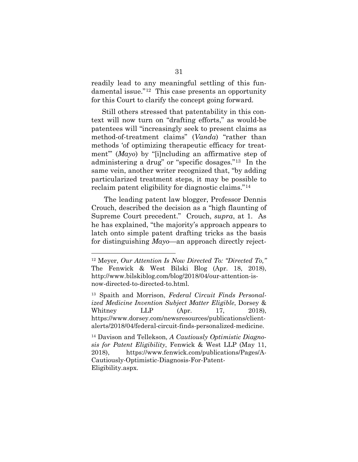readily lead to any meaningful settling of this fundamental issue."[12](#page-40-4) This case presents an opportunity for this Court to clarify the concept going forward.

<span id="page-40-0"></span>Still others stressed that patentability in this context will now turn on "drafting efforts," as would-be patentees will "increasingly seek to present claims as method-of-treatment claims" (*Vanda*) "rather than methods 'of optimizing therapeutic efficacy for treatment'" (*Mayo*) by "[i]ncluding an affirmative step of administering a drug" or "specific dosages."[13](#page-40-5) In the same vein, another writer recognized that, "by adding particularized treatment steps, it may be possible to reclaim patent eligibility for diagnostic claims."[14](#page-40-6)

The leading patent law blogger, Professor Dennis Crouch, described the decision as a "high flaunting of Supreme Court precedent." Crouch, *supra*, at 1. As he has explained, "the majority's approach appears to latch onto simple patent drafting tricks as the basis for distinguishing *Mayo*—an approach directly reject-

 $\overline{a}$ 

<span id="page-40-4"></span><span id="page-40-2"></span><sup>12</sup> Meyer, *Our Attention Is Now Directed To: "Directed To,"* The Fenwick & West Bilski Blog (Apr. 18, 2018), http://www.bilskiblog.com/blog/2018/04/our-attention-isnow-directed-to-directed-to.html.

<span id="page-40-5"></span><span id="page-40-3"></span><sup>13</sup> Spaith and Morrison, *Federal Circuit Finds Personalized Medicine Invention Subject Matter Eligible*, Dorsey & Whitney LLP (Apr. 17, 2018), https://www.dorsey.com/newsresources/publications/clientalerts/2018/04/federal-circuit-finds-personalized-medicine.

<span id="page-40-6"></span><span id="page-40-1"></span><sup>14</sup> Davison and Tellekson, *A Cautiously Optimistic Diagnosis for Patent Eligibility*, Fenwick & West LLP (May 11, 2018), https://www.fenwick.com/publications/Pages/A-Cautiously-Optimistic-Diagnosis-For-Patent-Eligibility.aspx.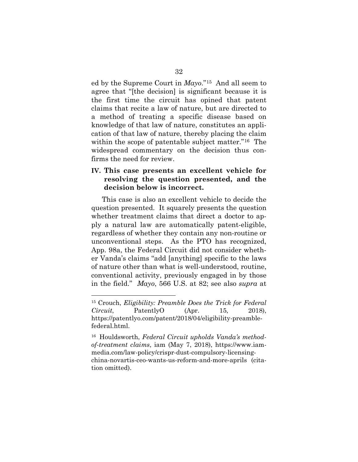ed by the Supreme Court in *Mayo*."[15](#page-41-3) And all seem to agree that "[the decision] is significant because it is the first time the circuit has opined that patent claims that recite a law of nature, but are directed to a method of treating a specific disease based on knowledge of that law of nature, constitutes an application of that law of nature, thereby placing the claim within the scope of patentable subject matter."[16](#page-41-4) The widespread commentary on the decision thus confirms the need for review.

## <span id="page-41-0"></span>**IV. This case presents an excellent vehicle for resolving the question presented, and the decision below is incorrect.**

This case is also an excellent vehicle to decide the question presented. It squarely presents the question whether treatment claims that direct a doctor to apply a natural law are automatically patent-eligible, regardless of whether they contain any non-routine or unconventional steps. As the PTO has recognized, App. 98a, the Federal Circuit did not consider whether Vanda's claims "add [anything] specific to the laws of nature other than what is well-understood, routine, conventional activity, previously engaged in by those in the field." *Mayo*, 566 U.S. at 82; see also *supra* at

l

<span id="page-41-3"></span><span id="page-41-1"></span><sup>15</sup> Crouch, *Eligibility: Preamble Does the Trick for Federal Circuit*, PatentlyO (Apr. 15, 2018), https://patentlyo.com/patent/2018/04/eligibility-preamblefederal.html.

<span id="page-41-4"></span><span id="page-41-2"></span><sup>16</sup> Houldsworth, *Federal Circuit upholds Vanda's methodof-treatment claims*, iam (May 7, 2018), https://www.iammedia.com/law-policy/crispr-dust-compulsory-licensingchina-novartis-ceo-wants-us-reform-and-more-aprils (citation omitted).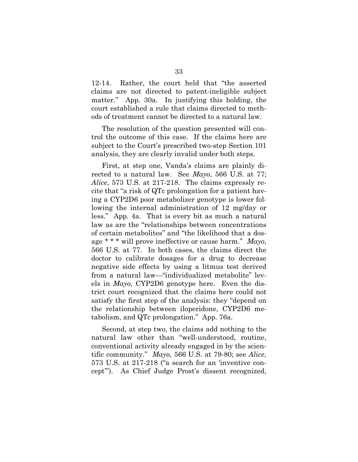12-14. Rather, the court held that "the asserted claims are not directed to patent-ineligible subject matter." App. 30a. In justifying this holding, the court established a rule that claims directed to methods of treatment cannot be directed to a natural law.

The resolution of the question presented will control the outcome of this case. If the claims here are subject to the Court's prescribed two-step Section 101 analysis, they are clearly invalid under both steps.

<span id="page-42-0"></span>First, at step one, Vanda's claims are plainly directed to a natural law. See *Mayo*, 566 U.S. at 77; *Alice*, 573 U.S. at 217-218. The claims expressly recite that "a risk of QTc prolongation for a patient having a CYP2D6 poor metabolizer genotype is lower following the internal administration of 12 mg/day or less." App. 4a. That is every bit as much a natural law as are the "relationships between concentrations of certain metabolites" and "the likelihood that a dosage \* \* \* will prove ineffective or cause harm." *Mayo*, 566 U.S. at 77. In both cases, the claims direct the doctor to calibrate dosages for a drug to decrease negative side effects by using a litmus test derived from a natural law—"individualized metabolite" levels in *Mayo*, CYP2D6 genotype here. Even the district court recognized that the claims here could not satisfy the first step of the analysis: they "depend on the relationship between iloperidone, CYP2D6 metabolism, and QTc prolongation." App. 76a.

Second, at step two, the claims add nothing to the natural law other than "well-understood, routine, conventional activity already engaged in by the scientific community." *Mayo*, 566 U.S. at 79-80; see *Alice*, 573 U.S. at 217-218 ("a search for an 'inventive concept'"). As Chief Judge Prost's dissent recognized,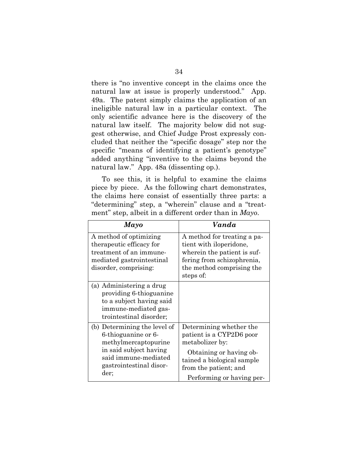there is "no inventive concept in the claims once the natural law at issue is properly understood." App. 49a. The patent simply claims the application of an ineligible natural law in a particular context. The only scientific advance here is the discovery of the natural law itself. The majority below did not suggest otherwise, and Chief Judge Prost expressly concluded that neither the "specific dosage" step nor the specific "means of identifying a patient's genotype" added anything "inventive to the claims beyond the natural law." App. 48a (dissenting op.).

To see this, it is helpful to examine the claims piece by piece. As the following chart demonstrates, the claims here consist of essentially three parts: a "determining" step, a "wherein" clause and a "treatment" step, albeit in a different order than in *Mayo*.

<span id="page-43-0"></span>

| Mayo                                                                                                                                                             | Vanda                                                                                                                                                                                 |
|------------------------------------------------------------------------------------------------------------------------------------------------------------------|---------------------------------------------------------------------------------------------------------------------------------------------------------------------------------------|
| A method of optimizing<br>therapeutic efficacy for<br>treatment of an immune-<br>mediated gastrointestinal<br>disorder, comprising:                              | A method for treating a pa-<br>tient with iloperidone,<br>wherein the patient is suf-<br>fering from schizophrenia,<br>the method comprising the<br>steps of:                         |
| (a) Administering a drug<br>providing 6-thioguanine<br>to a subject having said<br>immune-mediated gas-<br>trointestinal disorder;                               |                                                                                                                                                                                       |
| (b) Determining the level of<br>6-thioguanine or 6-<br>methylmercaptopurine<br>in said subject having<br>said immune-mediated<br>gastrointestinal disor-<br>der; | Determining whether the<br>patient is a CYP2D6 poor<br>metabolizer by:<br>Obtaining or having ob-<br>tained a biological sample<br>from the patient; and<br>Performing or having per- |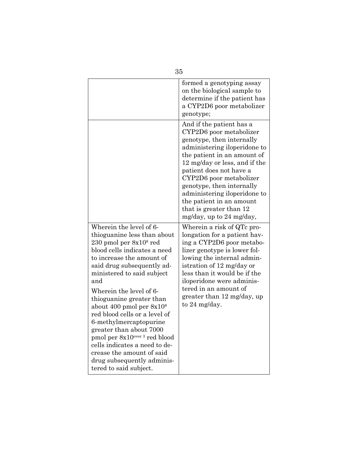|                                                                                                                                                                                                                                                                                                                                                                                                                                                                                                                                                                    | 35                                                                                                                                                                                                                                                                                                                                                                                     |
|--------------------------------------------------------------------------------------------------------------------------------------------------------------------------------------------------------------------------------------------------------------------------------------------------------------------------------------------------------------------------------------------------------------------------------------------------------------------------------------------------------------------------------------------------------------------|----------------------------------------------------------------------------------------------------------------------------------------------------------------------------------------------------------------------------------------------------------------------------------------------------------------------------------------------------------------------------------------|
|                                                                                                                                                                                                                                                                                                                                                                                                                                                                                                                                                                    | formed a genotyping assay<br>on the biological sample to<br>determine if the patient has<br>a CYP2D6 poor metabolizer<br>genotype;                                                                                                                                                                                                                                                     |
|                                                                                                                                                                                                                                                                                                                                                                                                                                                                                                                                                                    | And if the patient has a<br>CYP2D6 poor metabolizer<br>genotype, then internally<br>administering iloperidone to<br>the patient in an amount of<br>12 mg/day or less, and if the<br>patient does not have a<br>CYP2D6 poor metabolizer<br>genotype, then internally<br>administering iloperidone to<br>the patient in an amount<br>that is greater than 12<br>mg/day, up to 24 mg/day, |
| Wherein the level of 6-<br>thioguanine less than about<br>$230$ pmol per $8x108$ red<br>blood cells indicates a need<br>to increase the amount of<br>said drug subsequently ad-<br>ministered to said subject<br>and<br>Wherein the level of 6-<br>thioguanine greater than<br>about 400 pmol per $8x108$<br>red blood cells or a level of<br>6-methylmercaptopurine<br>greater than about 7000<br>pmol per 8x10 <sup>over 3</sup> red blood<br>cells indicates a need to de-<br>crease the amount of said<br>drug subsequently adminis-<br>tered to said subject. | Wherein a risk of QTc pro-<br>longation for a patient hav-<br>ing a CYP2D6 poor metabo-<br>lizer genotype is lower fol-<br>lowing the internal admin-<br>istration of 12 mg/day or<br>less than it would be if the<br>iloperidone were adminis-<br>tered in an amount of<br>greater than 12 mg/day, up<br>to 24 mg/day.                                                                |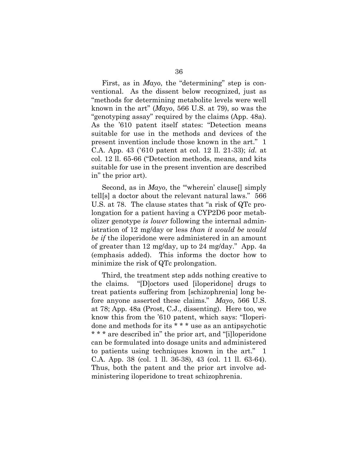First, as in *Mayo*, the "determining" step is conventional. As the dissent below recognized, just as "methods for determining metabolite levels were well known in the art" (*Mayo*, 566 U.S. at 79), so was the "genotyping assay" required by the claims (App. 48a). As the '610 patent itself states: "Detection means suitable for use in the methods and devices of the present invention include those known in the art." 1 C.A. App. 43 ('610 patent at col. 12 ll. 21-33); *id.* at col. 12 ll. 65-66 ("Detection methods, means, and kits suitable for use in the present invention are described in" the prior art).

Second, as in *Mayo*, the "wherein' clause<sup>[]</sup> simply tell[s] a doctor about the relevant natural laws." 566 U.S. at 78. The clause states that "a risk of QTc prolongation for a patient having a CYP2D6 poor metabolizer genotype *is lower* following the internal administration of 12 mg/day or less *than it would be would be if* the iloperidone were administered in an amount of greater than 12 mg/day, up to 24 mg/day." App. 4a (emphasis added). This informs the doctor how to minimize the risk of QTc prolongation.

Third, the treatment step adds nothing creative to the claims. "[D]octors used [iloperidone] drugs to treat patients suffering from [schizophrenia] long before anyone asserted these claims." *Mayo*, 566 U.S. at 78; App. 48a (Prost, C.J., dissenting). Here too, we know this from the '610 patent, which says: "Iloperidone and methods for its \* \* \* use as an antipsychotic \* \* \* are described in" the prior art, and "[i]loperidone can be formulated into dosage units and administered to patients using techniques known in the art." 1 C.A. App. 38 (col. 1 ll. 36-38), 43 (col. 11 ll. 63-64). Thus, both the patent and the prior art involve administering iloperidone to treat schizophrenia.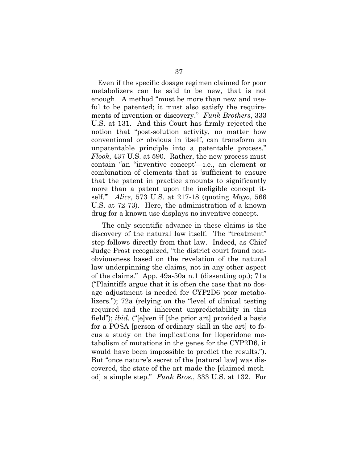<span id="page-46-1"></span>Even if the specific dosage regimen claimed for poor metabolizers can be said to be new, that is not enough. A method "must be more than new and useful to be patented; it must also satisfy the requirements of invention or discovery." *Funk Brothers*, 333 U.S. at 131. And this Court has firmly rejected the notion that "post-solution activity, no matter how conventional or obvious in itself, can transform an unpatentable principle into a patentable process." *Flook*, 437 U.S. at 590. Rather, the new process must contain "an ''inventive concept'—i.e., an element or combination of elements that is 'sufficient to ensure that the patent in practice amounts to significantly more than a patent upon the ineligible concept itself.'" *Alice*, 573 U.S. at 217-18 (quoting *Mayo*, 566 U.S. at 72-73). Here, the administration of a known drug for a known use displays no inventive concept.

<span id="page-46-0"></span>The only scientific advance in these claims is the discovery of the natural law itself. The "treatment" step follows directly from that law. Indeed, as Chief Judge Prost recognized, "the district court found nonobviousness based on the revelation of the natural law underpinning the claims, not in any other aspect of the claims." App. 49a-50a n.1 (dissenting op.); 71a ("Plaintiffs argue that it is often the case that no dosage adjustment is needed for CYP2D6 poor metabolizers."); 72a (relying on the "level of clinical testing required and the inherent unpredictability in this field"); *ibid.* ("[e]ven if [the prior art] provided a basis for a POSA [person of ordinary skill in the art] to focus a study on the implications for iloperidone metabolism of mutations in the genes for the CYP2D6, it would have been impossible to predict the results."). But "once nature's secret of the [natural law] was discovered, the state of the art made the [claimed method] a simple step." *Funk Bros.*, 333 U.S. at 132. For